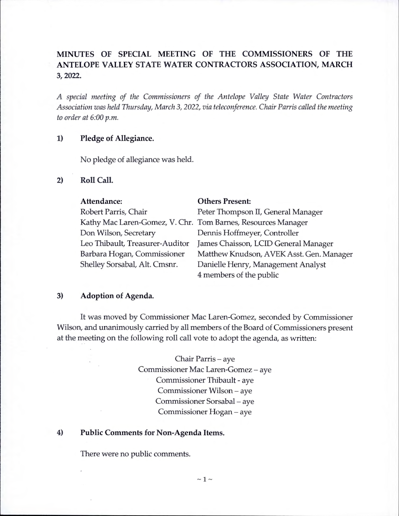# **MINUTES OF SPECIAL MEETING OF THE COMMISSIONERS OF THE ANTELOPE VALLEY STATE WATER CONTRACTORS ASSOCIATION, MARCH 3, 2022.**

*A special meeting of the Commissioners of the Antelope Valley State Water Contractors Association was held Thursday, March* 3, 2022, *via teleconference. Chair Parris called the meeting to order at 6:00 p.m.* 

### **1) Pledge of Allegiance.**

No pledge of allegiance was held.

**2) Roll Call.** 

| Attendance:                                                  | <b>Others Present:</b>                   |
|--------------------------------------------------------------|------------------------------------------|
| Robert Parris, Chair                                         | Peter Thompson II, General Manager       |
| Kathy Mac Laren-Gomez, V. Chr. Tom Barnes, Resources Manager |                                          |
| Don Wilson, Secretary                                        | Dennis Hoffmeyer, Controller             |
| Leo Thibault, Treasurer-Auditor                              | James Chaisson, LCID General Manager     |
| Barbara Hogan, Commissioner                                  | Matthew Knudson, AVEK Asst. Gen. Manager |
| Shelley Sorsabal, Alt. Cmsnr.                                | Danielle Henry, Management Analyst       |
|                                                              | 4 members of the public                  |

#### **3) Adoption of Agenda.**

It was moved by Commissioner Mac Laren-Gomez, seconded by Commissioner Wilson, and unanimously carried by all members of the Board of Commissioners present at the meeting on the following roll call vote to adopt the agenda, as written:

> Chair Parris – aye Commissioner Mac Laren-Gomez - aye Commissioner Thibault - aye Commissioner Wilson - aye Commissioner Sorsabal – aye Commissioner Hogan – aye

#### **4) Public Comments for Non-Agenda Items.**

There were no public comments.

 $\sim$  1  $\sim$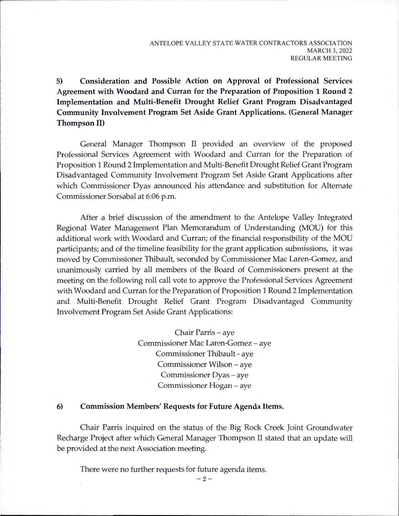**5) Consideration and Possible Action on Approval of Professional Services Agreement with Woodard and Curran for the Preparation of Proposition 1 Round 2 Implementation and Multi-Benefit Drought Relief Grant Program Disadvantaged Community Involvement Program Set Aside Grant Applications. (General Manager Thompson II)** 

General Manager Thompson II provided an overview of the proposed Professional Services Agreement with Woodard and Curran for the Preparation of Proposition 1 Round 2 Implementation and Multi-Benefit Drought Relief Grant Program Disadvantaged Community Involvement Program Set Aside Grant Applications after which Commissioner Dyas announced his attendance and substitution for Alternate Commissioner Sorsabal at 6:06 p.m.

After a brief discussion of the amendment to the Antelope Valley Integrated Regional Water Management Plan Memorandum of Understanding (MOU) for this additional work with Woodard and Curran; of the financial responsibility of the MOU participants; and of the timeline feasibility for the grant application submissions, it was moved by Commissioner Thibault, seconded by Commissioner Mac Laren-Gomez, and unanimously carried by all members of the Board of Commissioners present at the meeting on the following roll call vote to approve the Professional Services Agreement with Woodard and Curran for the Preparation of Proposition 1 Round 2 Implementation and Multi-Benefit Drought Relief Grant Program Disadvantaged Community Involvement Program Set Aside Grant Applications:

> Chair Parris – aye Commissioner Mac Laren-Gomez - aye Commissioner Thibault - aye Commissioner Wilson - aye Commissioner Dyas – aye Commissioner Hogan - aye

#### **6) Commission Members' Requests for Future Agenda Items.**

Chair Parris inquired on the status of the Big Rock Creek Joint Groundwater Recharge Project after which General Manager Thompson II stated that an update will be provided at the next Association meeting.

There were no further requests for future agenda items.

 $\sim 2 \sim$